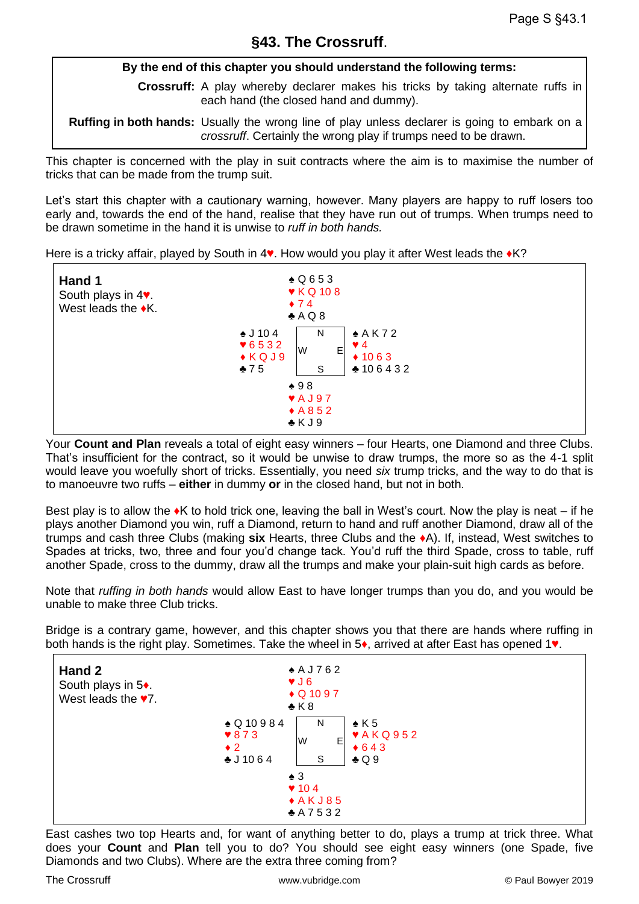## **§43. The Crossruff**.

#### **By the end of this chapter you should understand the following terms:**

**Crossruff:** A play whereby declarer makes his tricks by taking alternate ruffs in each hand (the closed hand and dummy).

**Ruffing in both hands:** Usually the wrong line of play unless declarer is going to embark on a *crossruff*. Certainly the wrong play if trumps need to be drawn.

This chapter is concerned with the play in suit contracts where the aim is to maximise the number of tricks that can be made from the trump suit.

Let's start this chapter with a cautionary warning, however. Many players are happy to ruff losers too early and, towards the end of the hand, realise that they have run out of trumps. When trumps need to be drawn sometime in the hand it is unwise to *ruff in both hands.*

Here is a tricky affair, played by South in 4♥. How would you play it after West leads the ♦K?



Your **Count and Plan** reveals a total of eight easy winners – four Hearts, one Diamond and three Clubs. That's insufficient for the contract, so it would be unwise to draw trumps, the more so as the 4-1 split would leave you woefully short of tricks. Essentially, you need *six* trump tricks, and the way to do that is to manoeuvre two ruffs – **either** in dummy **or** in the closed hand, but not in both.

Best play is to allow the  $\bullet$ K to hold trick one, leaving the ball in West's court. Now the play is neat – if he plays another Diamond you win, ruff a Diamond, return to hand and ruff another Diamond, draw all of the trumps and cash three Clubs (making **six** Hearts, three Clubs and the ♦A). If, instead, West switches to Spades at tricks, two, three and four you'd change tack. You'd ruff the third Spade, cross to table, ruff another Spade, cross to the dummy, draw all the trumps and make your plain-suit high cards as before.

Note that *ruffing in both hands* would allow East to have longer trumps than you do, and you would be unable to make three Club tricks.

Bridge is a contrary game, however, and this chapter shows you that there are hands where ruffing in both hands is the right play. Sometimes. Take the wheel in 5♦, arrived at after East has opened 1♥.

| Hand 2<br>South plays in 5+<br>West leads the $\blacktriangledown$ . | $*$ AJ762<br>VJ6<br>$\bullet$ Q 10 9 7<br>$\triangle$ K 8                                                                                                   |
|----------------------------------------------------------------------|-------------------------------------------------------------------------------------------------------------------------------------------------------------|
|                                                                      | $\triangle Q$ 10984<br>$\triangle$ K 5<br>N<br>$\blacktriangledown$ AKQ952<br>$*873$<br>W<br>E<br>$*643$<br>$\bullet$ 2<br>$\clubsuit$ Q 9<br>S<br>$-11064$ |
|                                                                      | $\triangle$ 3<br>$\blacktriangledown$ 104<br>$*AKJ85$<br>A7532                                                                                              |

East cashes two top Hearts and, for want of anything better to do, plays a trump at trick three. What does your **Count** and **Plan** tell you to do? You should see eight easy winners (one Spade, five Diamonds and two Clubs). Where are the extra three coming from?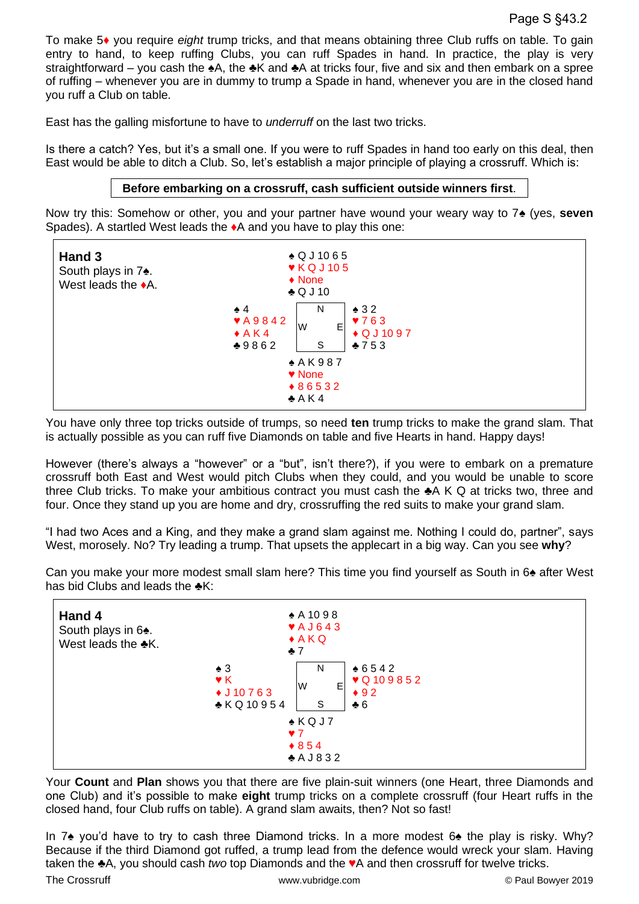To make 5♦ you require *eight* trump tricks, and that means obtaining three Club ruffs on table. To gain entry to hand, to keep ruffing Clubs, you can ruff Spades in hand. In practice, the play is very straightforward – you cash the ♠A, the ♣K and ♣A at tricks four, five and six and then embark on a spree of ruffing – whenever you are in dummy to trump a Spade in hand, whenever you are in the closed hand you ruff a Club on table.

East has the galling misfortune to have to *underruff* on the last two tricks.

Is there a catch? Yes, but it's a small one. If you were to ruff Spades in hand too early on this deal, then East would be able to ditch a Club. So, let's establish a major principle of playing a crossruff. Which is:

#### **Before embarking on a crossruff, cash sufficient outside winners first**.

Now try this: Somehow or other, you and your partner have wound your weary way to 7♠ (yes, **seven** Spades). A startled West leads the ♦A and you have to play this one:



You have only three top tricks outside of trumps, so need **ten** trump tricks to make the grand slam. That is actually possible as you can ruff five Diamonds on table and five Hearts in hand. Happy days!

However (there's always a "however" or a "but", isn't there?), if you were to embark on a premature crossruff both East and West would pitch Clubs when they could, and you would be unable to score three Club tricks. To make your ambitious contract you must cash the ♣A K Q at tricks two, three and four. Once they stand up you are home and dry, crossruffing the red suits to make your grand slam.

"I had two Aces and a King, and they make a grand slam against me. Nothing I could do, partner", says West, morosely. No? Try leading a trump. That upsets the applecart in a big way. Can you see **why**?



Can you make your more modest small slam here? This time you find yourself as South in 6♠ after West has bid Clubs and leads the  $≢K$ :

Your **Count** and **Plan** shows you that there are five plain-suit winners (one Heart, three Diamonds and one Club) and it's possible to make **eight** trump tricks on a complete crossruff (four Heart ruffs in the closed hand, four Club ruffs on table). A grand slam awaits, then? Not so fast!

In 7♠ you'd have to try to cash three Diamond tricks. In a more modest 6♠ the play is risky. Why? Because if the third Diamond got ruffed, a trump lead from the defence would wreck your slam. Having taken the ♣A, you should cash *two* top Diamonds and the ♥A and then crossruff for twelve tricks.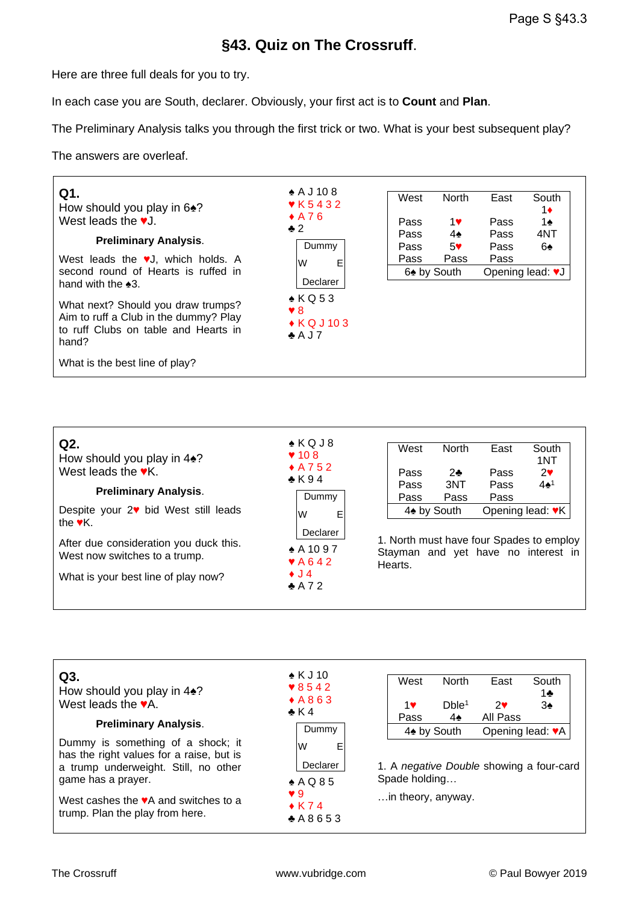# **§43. Quiz on The Crossruff**.

Here are three full deals for you to try.

In each case you are South, declarer. Obviously, your first act is to **Count** and **Plan**.

The Preliminary Analysis talks you through the first trick or two. What is your best subsequent play?

The answers are overleaf.



| Q2.<br>How should you play in $4\cdot$ ?<br>West leads the $\mathbf{v}$ K.<br><b>Preliminary Analysis.</b> | $\triangle$ KQJ8<br>$\blacktriangledown$ 10 8<br>$*$ A752<br>$\bullet$ K 94<br>Dummy | West<br>Pass<br>Pass<br>Pass                                                               | North<br>$2 -$<br>3NT<br>Pass | East<br>Pass<br>Pass<br>Pass | South<br>1NT<br>$2\mathbf{v}$<br>$4\spadesuit^1$ |  |  |
|------------------------------------------------------------------------------------------------------------|--------------------------------------------------------------------------------------|--------------------------------------------------------------------------------------------|-------------------------------|------------------------------|--------------------------------------------------|--|--|
| Despite your 2♥ bid West still leads<br>the $\mathbf{v}$ K.                                                | Е<br>lW                                                                              | 4 <sup>★</sup> by South                                                                    |                               | Opening lead: ♥K             |                                                  |  |  |
| After due consideration you duck this.<br>West now switches to a trump.                                    | Declarer<br>$*$ A 10 9 7<br>$\blacktriangledown$ A642                                | 1. North must have four Spades to employ<br>Stayman and yet have no interest in<br>Hearts. |                               |                              |                                                  |  |  |
| What is your best line of play now?                                                                        | $\bullet$ J 4                                                                        |                                                                                            |                               |                              |                                                  |  |  |

♣ A 7 2

| Q3.<br>How should you play in $4\spadesuit$ ?<br>West leads the $\blacktriangledown$ A.<br><b>Preliminary Analysis.</b>                                                                                                                    | $\bullet$ K J 10<br>$\sqrt{8542}$<br>$*A863$<br>$\bullet$ K 4<br>Dummy      | West<br>1♥<br>Pass                                                              | <b>North</b><br>Dble <sup>1</sup><br>4♠ | East<br>2<br>All Pass | South<br>1♣<br>3♠ |  |
|--------------------------------------------------------------------------------------------------------------------------------------------------------------------------------------------------------------------------------------------|-----------------------------------------------------------------------------|---------------------------------------------------------------------------------|-----------------------------------------|-----------------------|-------------------|--|
| Dummy is something of a shock; it<br>has the right values for a raise, but is<br>a trump underweight. Still, no other<br>game has a prayer.<br>West cashes the $\blacktriangledown$ A and switches to a<br>trump. Plan the play from here. | W<br>E<br>Declarer<br>$* A Q 85$<br>$\vee$ 9<br>$\bullet$ K 74<br>$+ A8653$ | 1. A negative Double showing a four-card<br>Spade holding<br>in theory, anyway. | 4 <sup>★</sup> by South                 | Opening lead: VA      |                   |  |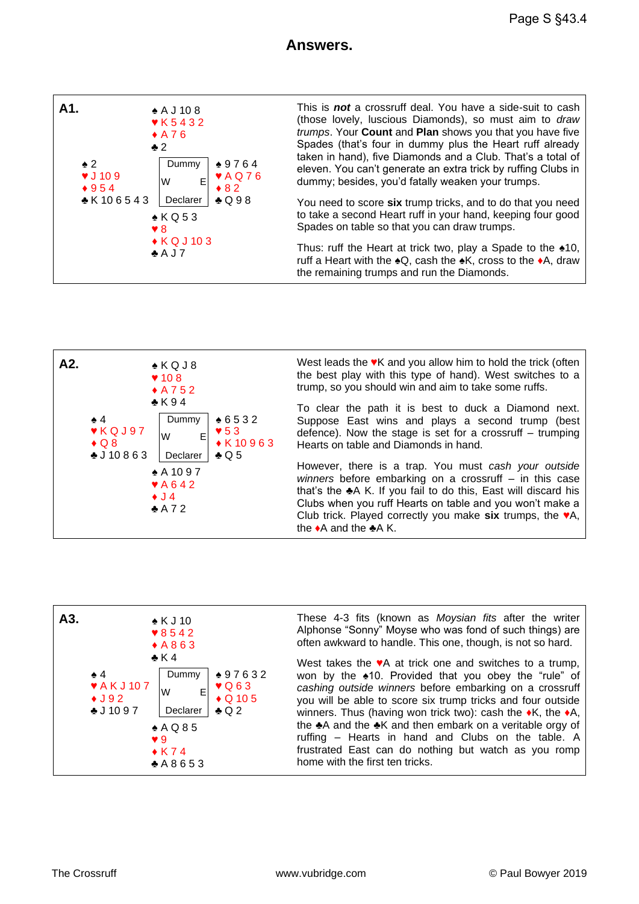### **Answers.**





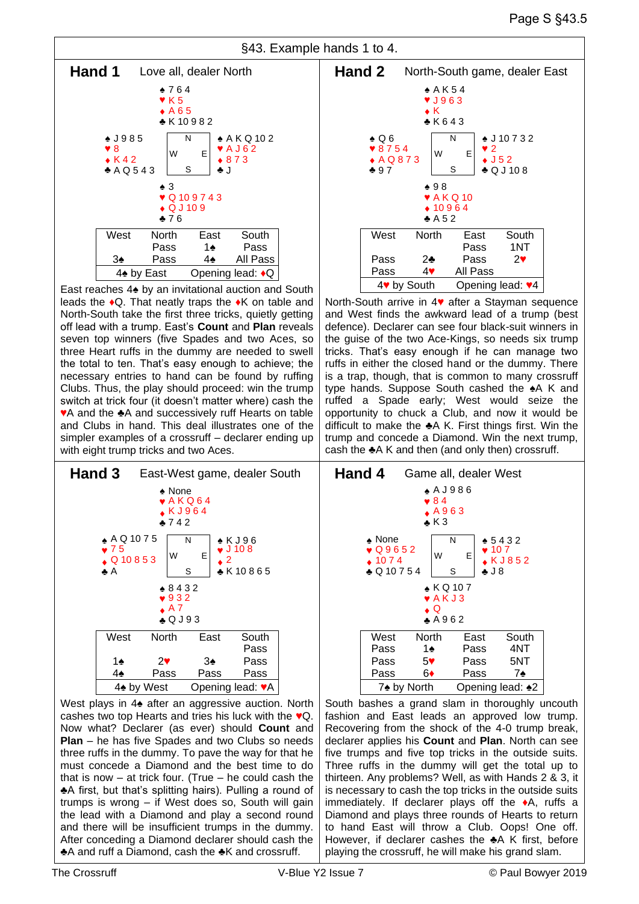

East reaches 4♠ by an invitational auction and South leads the ♦Q. That neatly traps the ♦K on table and North-South take the first three tricks, quietly getting off lead with a trump. East's **Count** and **Plan** reveals seven top winners (five Spades and two Aces, so three Heart ruffs in the dummy are needed to swell the total to ten. That's easy enough to achieve; the necessary entries to hand can be found by ruffing Clubs. Thus, the play should proceed: win the trump switch at trick four (it doesn't matter where) cash the ♥A and the ♣A and successively ruff Hearts on table and Clubs in hand. This deal illustrates one of the simpler examples of a crossruff – declarer ending up with eight trump tricks and two Aces.



West plays in 4♠ after an aggressive auction. North cashes two top Hearts and tries his luck with the ♥Q. Now what? Declarer (as ever) should **Count** and **Plan** – he has five Spades and two Clubs so needs three ruffs in the dummy. To pave the way for that he must concede a Diamond and the best time to do that is now  $-$  at trick four. (True  $-$  he could cash the ♣A first, but that's splitting hairs). Pulling a round of trumps is wrong – if West does so, South will gain the lead with a Diamond and play a second round and there will be insufficient trumps in the dummy. After conceding a Diamond declarer should cash the ♣A and ruff a Diamond, cash the ♣K and crossruff.



North-South arrive in 4♥ after a Stayman sequence and West finds the awkward lead of a trump (best defence). Declarer can see four black-suit winners in the guise of the two Ace-Kings, so needs six trump tricks. That's easy enough if he can manage two ruffs in either the closed hand or the dummy. There is a trap, though, that is common to many crossruff type hands. Suppose South cashed the ♠A K and ruffed a Spade early; West would seize the opportunity to chuck a Club, and now it would be difficult to make the ♣A K. First things first. Win the trump and concede a Diamond. Win the next trump, cash the ♣A K and then (and only then) crossruff.



South bashes a grand slam in thoroughly uncouth fashion and East leads an approved low trump. Recovering from the shock of the 4-0 trump break, declarer applies his **Count** and **Plan**. North can see five trumps and five top tricks in the outside suits. Three ruffs in the dummy will get the total up to thirteen. Any problems? Well, as with Hands 2 & 3, it is necessary to cash the top tricks in the outside suits immediately. If declarer plays off the ♦A, ruffs a Diamond and plays three rounds of Hearts to return to hand East will throw a Club. Oops! One off. However, if declarer cashes the ♣A K first, before playing the crossruff, he will make his grand slam.